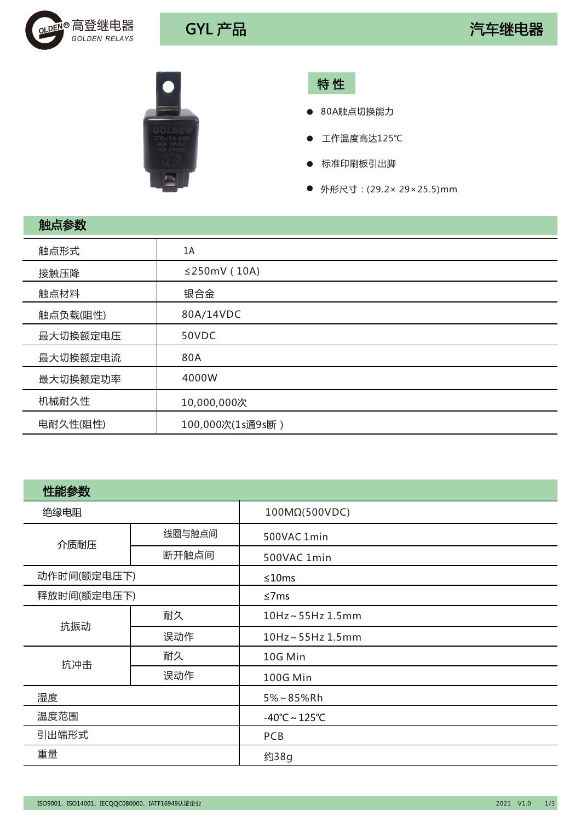



特 性

- 80A触点切换能力
- 工作温度高达125℃
- 标准印刷板引出脚  $\bullet$
- 外形尺寸: (29.2× 29×25.5)mm

| 触点参数     |                    |
|----------|--------------------|
| 触点形式     | 1A                 |
| 接触压降     | $\leq$ 250mV (10A) |
| 触点材料     | 银合金                |
| 触点负载(阻性) | 80A/14VDC          |
| 最大切换额定电压 | 50VDC              |
| 最大切换额定电流 | 80A                |
| 最大切换额定功率 | 4000W              |
| 机械耐久性    | 10,000,000次        |
| 电耐久性(阻性) | 100,000次(1s通9s断)   |

| 性能参数        |        |                                    |  |
|-------------|--------|------------------------------------|--|
| 绝缘电阻        |        | 100MΩ(500VDC)                      |  |
| 介质耐压        | 线圈与触点间 | 500VAC 1min                        |  |
|             | 断开触点间  | 500VAC 1min                        |  |
| 动作时间(额定电压下) |        | ≤10ms                              |  |
| 释放时间(额定电压下) |        | ≤7 $ms$                            |  |
| 抗振动         | 耐久     | 10Hz~55Hz 1.5mm                    |  |
|             | 误动作    | 10Hz~55Hz 1.5mm                    |  |
| 抗冲击         | 耐久     | 10G Min                            |  |
|             | 误动作    | 100G Min                           |  |
| 湿度          |        | $5\% \sim 85\%$ Rh                 |  |
| 温度范围        |        | $-40^{\circ}$ C ~ 125 $^{\circ}$ C |  |
| 引出端形式       |        | <b>PCB</b>                         |  |
| 重量          |        | 约38g                               |  |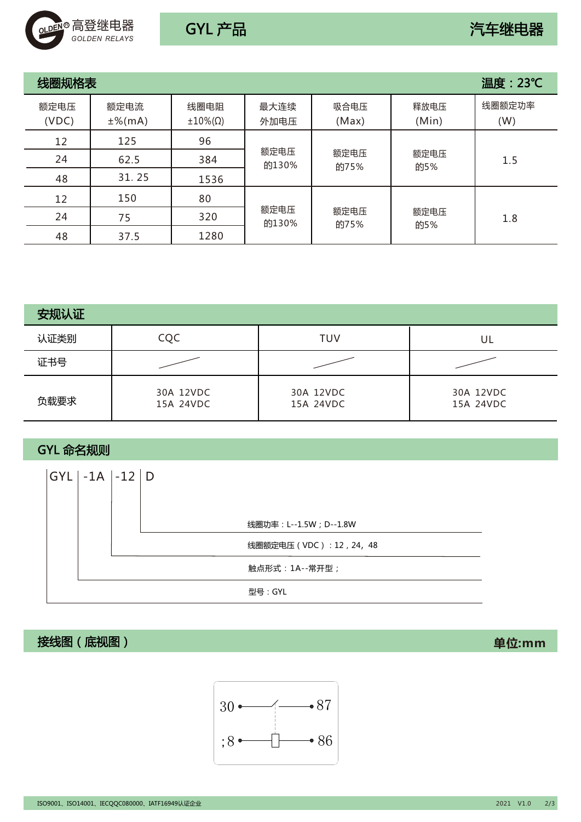

| 线圈规格表         |                   |                                 |               |               |               | 温度: 23℃       |     |  |  |  |              |             |     |
|---------------|-------------------|---------------------------------|---------------|---------------|---------------|---------------|-----|--|--|--|--------------|-------------|-----|
| 额定电压<br>(VDC) | 额定电流<br>$±%$ (mA) | 线圈电阻<br>$\pm 10\%$ ( $\Omega$ ) | 最大连续<br>外加电压  | 吸合电压<br>(Max) | 释放电压<br>(Min) | 线圈额定功率<br>(W) |     |  |  |  |              |             |     |
| 12            | 125               | 96                              |               |               |               |               |     |  |  |  |              |             |     |
| 24            | 62.5              | 384                             | 额定电压<br>的130% |               |               |               |     |  |  |  | 额定电压<br>的75% | 额定电压<br>的5% | 1.5 |
| 48            | 31.25             | 1536                            |               |               |               |               |     |  |  |  |              |             |     |
| 12            | 150               | 80                              |               |               |               |               |     |  |  |  |              |             |     |
| 24            | 75                | 320                             | 额定电压<br>的130% |               | 额定电压<br>的75%  | 额定电压<br>的5%   | 1.8 |  |  |  |              |             |     |
| 48            | 37.5              | 1280                            |               |               |               |               |     |  |  |  |              |             |     |

| 安规认证 |                        |                        |                        |
|------|------------------------|------------------------|------------------------|
| 认证类别 | CQC                    | <b>TUV</b>             | UL                     |
| 证书号  |                        |                        |                        |
| 负载要求 | 30A 12VDC<br>15A 24VDC | 30A 12VDC<br>15A 24VDC | 30A 12VDC<br>15A 24VDC |

GYL 命名规则



接线图(底视图) **单位:mm**



ISO9001、ISO14001、IECQQC080000、IATF16949认证企业 2021 V1.0 2/3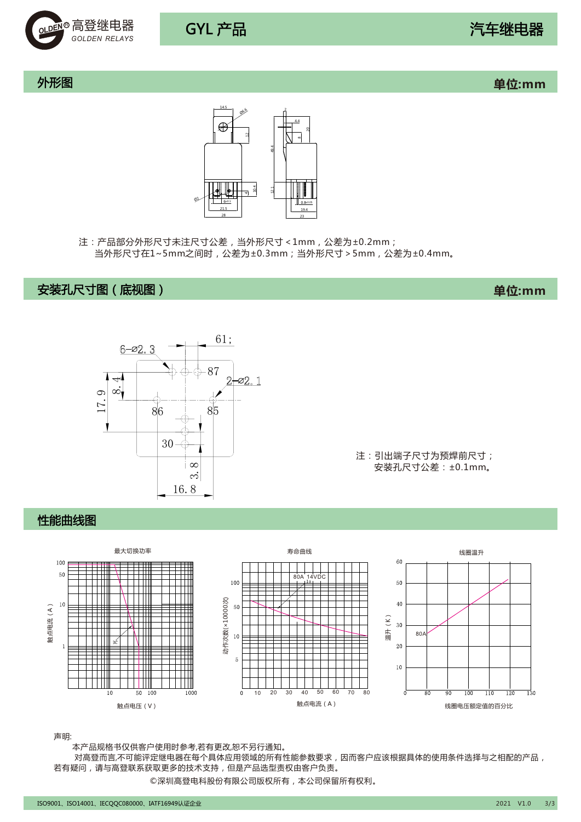

外形图 **单位:mm**



注:产品部分外形尺寸未注尺寸公差,当外形尺寸<1mm,公差为±0.2mm; 当外形尺寸在1~5mm之间时,公差为±0.3mm;当外形尺寸>5mm,公差为±0.4mm。

## 安装孔尺寸图(底视图) **单位:mm**



注:引出端子尺寸为预焊前尺寸; 安装孔尺寸公差:±0.1mm。

### 性能曲线图



声明:

本产品规格书仅供客户使用时参考,若有更改,恕不另行通知。

 对高登而言,不可能评定继电器在每个具体应用领域的所有性能参数要求,因而客户应该根据具体的使用条件选择与之相配的产品, 若有疑问,请与高登联系获取更多的技术支持,但是产品选型责权由客户负责。

©深圳高登电科股份有限公司版权所有,本公司保留所有权利。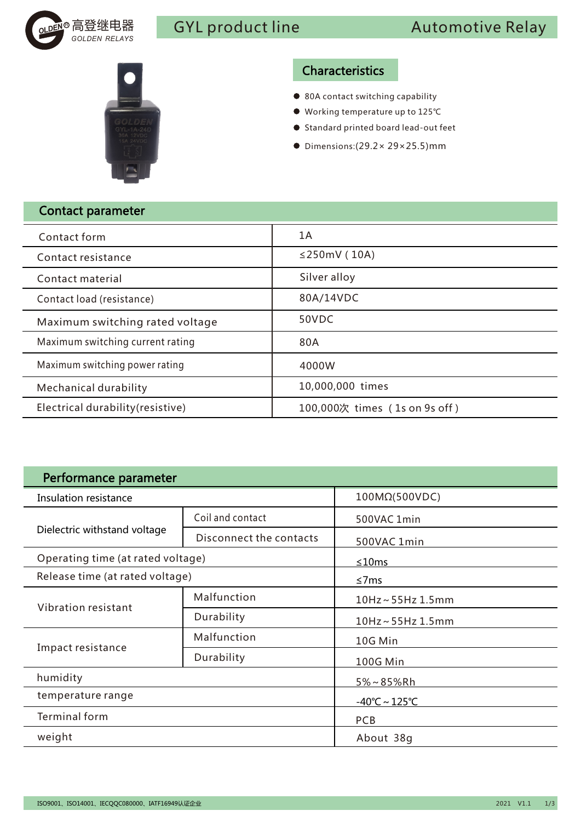



## Characteristics

- 80A contact switching capability
- Working temperature up to 125℃
- Standard printed board lead-out feet
- Dimensions:(29.2× 29×25.5)mm

| <b>Contact parameter</b>          |                               |
|-----------------------------------|-------------------------------|
| Contact form                      | 1 A                           |
| Contact resistance                | $\leq$ 250mV (10A)            |
| Contact material                  | Silver alloy                  |
| Contact load (resistance)         | 80A/14VDC                     |
| Maximum switching rated voltage   | 50VDC                         |
| Maximum switching current rating  | 80A                           |
| Maximum switching power rating    | 4000W                         |
| <b>Mechanical durability</b>      | 10,000,000 times              |
| Electrical durability (resistive) | 100,000次 times (1s on 9s off) |

| Performance parameter             |                         |                                    |  |  |  |
|-----------------------------------|-------------------------|------------------------------------|--|--|--|
| Insulation resistance             |                         | 100MΩ(500VDC)                      |  |  |  |
|                                   | Coil and contact        | 500VAC 1min                        |  |  |  |
| Dielectric withstand voltage      | Disconnect the contacts | 500VAC 1min                        |  |  |  |
| Operating time (at rated voltage) |                         | ≤10ms                              |  |  |  |
| Release time (at rated voltage)   |                         | $\leq$ 7ms                         |  |  |  |
| Vibration resistant               | Malfunction             | 10Hz~55Hz 1.5mm                    |  |  |  |
|                                   | Durability              | $10$ Hz ~ 55Hz $1.5$ mm            |  |  |  |
| Impact resistance                 | Malfunction             | 10G Min                            |  |  |  |
|                                   | Durability              | 100G Min                           |  |  |  |
| humidity                          |                         | $5\% \sim 85\%$ Rh                 |  |  |  |
| temperature range                 |                         | $-40^{\circ}$ C ~ 125 $^{\circ}$ C |  |  |  |
| Terminal form                     |                         | <b>PCB</b>                         |  |  |  |
| weight                            |                         | About 38g                          |  |  |  |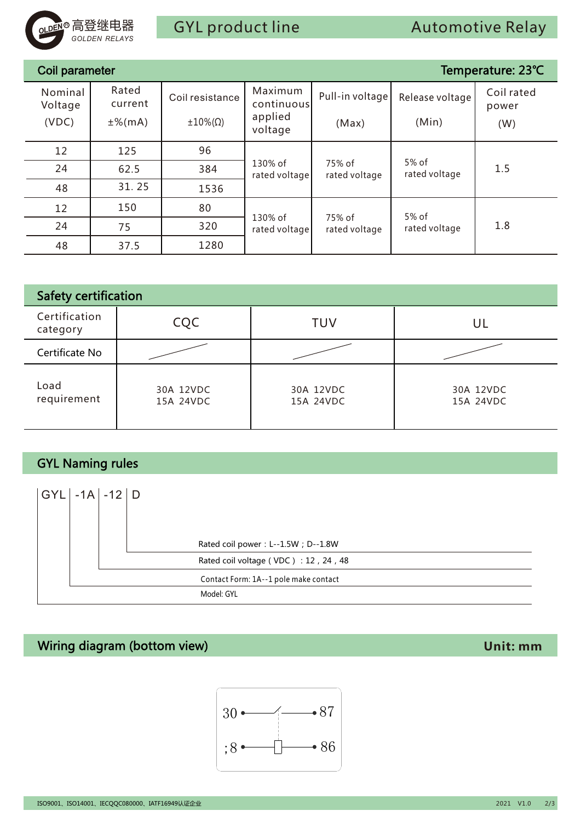

| <sub>oLDEN</sub> ® 局登继电器                    | <b>GOLDEN RELAYS</b> |                        | <b>GYL</b> product line |                                                                                                                     | <b>Automotive Relay</b> |                        |                     |
|---------------------------------------------|----------------------|------------------------|-------------------------|---------------------------------------------------------------------------------------------------------------------|-------------------------|------------------------|---------------------|
|                                             |                      |                        |                         |                                                                                                                     |                         |                        |                     |
| Coil parameter                              |                      |                        |                         |                                                                                                                     |                         |                        | Temperature: 23°C   |
| Nominal<br>Voltage                          |                      | Rated<br>current       | Coil resistance         | Maximum<br>continuous                                                                                               | Pull-in voltage         | Release voltage        | Coil rated<br>power |
| (VDC)                                       |                      | $±%$ (mA)              | $±10\%$ ( $\Omega$ )    | applied<br>voltage                                                                                                  | (Max)                   | (Min)                  | (W)                 |
| 12                                          |                      | 125                    | 96                      |                                                                                                                     |                         |                        |                     |
| 24                                          |                      | 62.5                   | 384                     | 130% of<br>rated voltage                                                                                            | 75% of<br>rated voltage | 5% of<br>rated voltage | 1.5                 |
| 48                                          |                      | 31.25                  | 1536                    |                                                                                                                     |                         |                        |                     |
| 12                                          |                      | 150                    | 80                      | 130% of                                                                                                             | 75% of                  | 5% of                  |                     |
| 24                                          |                      | 75                     | 320                     | rated voltage                                                                                                       | rated voltage           | rated voltage          | 1.8                 |
| 48                                          |                      | 37.5                   | 1280                    |                                                                                                                     |                         |                        |                     |
|                                             |                      |                        |                         |                                                                                                                     |                         |                        |                     |
| Safety certification                        |                      |                        |                         |                                                                                                                     |                         |                        |                     |
| Certification<br>category                   |                      |                        | CQC                     |                                                                                                                     | <b>TUV</b>              |                        | UL                  |
| Certificate No                              |                      |                        |                         |                                                                                                                     |                         |                        |                     |
| Load<br>requirement                         |                      | 30A 12VDC<br>15A 24VDC |                         |                                                                                                                     | 30A 12VDC<br>15A 24VDC  | 30A 12VDC<br>15A 24VDC |                     |
|                                             |                      |                        |                         |                                                                                                                     |                         |                        |                     |
| <b>GYL Naming rules</b>                     |                      |                        |                         |                                                                                                                     |                         |                        |                     |
| $GYL$ -1A -12                               |                      | D                      | Model: GYL              | Rated coil power: L--1.5W; D--1.8W<br>Rated coil voltage (VDC): 12, 24, 48<br>Contact Form: 1A--1 pole make contact |                         |                        |                     |
| Wiring diagram (bottom view)                |                      |                        |                         |                                                                                                                     |                         |                        | Unit: mm            |
| ISO9001、ISO14001、IECQQC080000、IATF16949认证企业 |                      |                        | $30 \bullet$            | $\overline{)}$ 86                                                                                                   | $\bullet\,87$           |                        | 2021 V1.0<br>2/3    |

| <b>Safety certification</b> |                        |                        |                        |  |
|-----------------------------|------------------------|------------------------|------------------------|--|
| Certification<br>category   | CQC                    | <b>TUV</b>             | UL                     |  |
| Certificate No              |                        |                        |                        |  |
| Load<br>requirement         | 30A 12VDC<br>15A 24VDC | 30A 12VDC<br>15A 24VDC | 30A 12VDC<br>15A 24VDC |  |

# GYL Naming rules

| $ GYL  -1A  -12 D$ |  |                                       |
|--------------------|--|---------------------------------------|
|                    |  |                                       |
|                    |  | Rated coil power: L--1.5W; D--1.8W    |
|                    |  | Rated coil voltage (VDC): 12, 24, 48  |
|                    |  | Contact Form: 1A--1 pole make contact |
|                    |  | Model: GYL                            |

## Wiring diagram (bottom view) **Unit: mm**